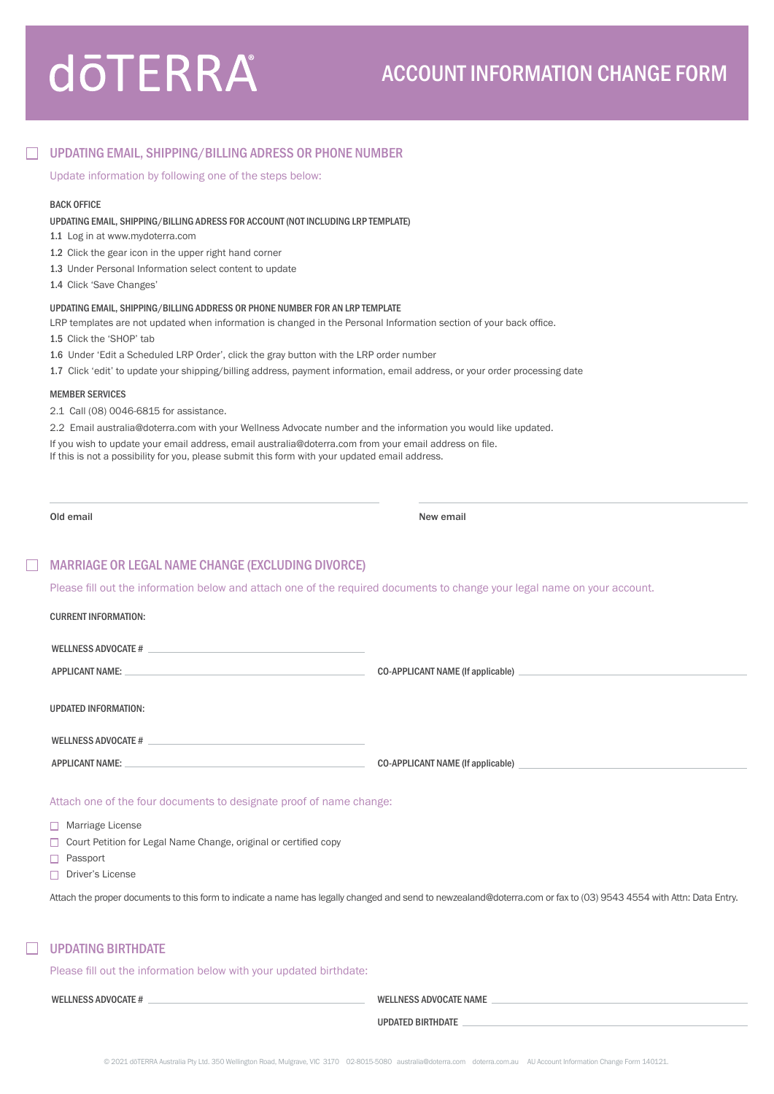# **dōTERRA**

# UPDATING EMAIL, SHIPPING/BILLING ADRESS OR PHONE NUMBER

Update information by following one of the steps below:

## BACK OFFICE

### UPDATING EMAIL, SHIPPING/BILLING ADRESS FOR ACCOUNT (NOT INCLUDING LRP TEMPLATE)

1.1 Log in at www.mydoterra.com

1.2 Click the gear icon in the upper right hand corner

- 1.3 Under Personal Information select content to update
- 1.4 Click 'Save Changes'

## UPDATING EMAIL, SHIPPING/BILLING ADDRESS OR PHONE NUMBER FOR AN LRP TEMPLATE

LRP templates are not updated when information is changed in the Personal Information section of your back office.

- 1.5 Click the 'SHOP' tab
- 1.6 Under 'Edit a Scheduled LRP Order', click the gray button with the LRP order number
- 1.7 Click 'edit' to update your shipping/billing address, payment information, email address, or your order processing date

#### MEMBER SERVICES

2.1 Call (08) 0046-6815 for assistance.

2.2 Email australia@doterra.com with your Wellness Advocate number and the information you would like updated.

If you wish to update your email address, email australia@doterra.com from your email address on file.

If this is not a possibility for you, please submit this form with your updated email address.

Old email **New email** New email **New email** New email  $\mathbb{R}^n$ 

## MARRIAGE OR LEGAL NAME CHANGE (EXCLUDING DIVORCE)

Please fill out the information below and attach one of the required documents to change your legal name on your account.

| <b>CURRENT INFORMATION:</b>                                                                                                                                                                                                    |                                                                                                                                                                                                                                                           |
|--------------------------------------------------------------------------------------------------------------------------------------------------------------------------------------------------------------------------------|-----------------------------------------------------------------------------------------------------------------------------------------------------------------------------------------------------------------------------------------------------------|
| WELLNESS ADVOCATE # 2000 APP AND THE SERVICE OF THE SERVICE OF THE SERVICE OF THE SERVICE OF THE SERVICE OF THE SERVICE OF THE SERVICE OF THE SERVICE OF THE SERVICE OF THE SERVICE OF THE SERVICE OF THE SERVICE OF THE SERVI |                                                                                                                                                                                                                                                           |
| <b>APPLICANT NAME:</b><br><u> 1989 - Johann Stein, mars an deus Amerikaansk kommunister (</u>                                                                                                                                  | CO-APPLICANT NAME (If applicable)                                                                                                                                                                                                                         |
| <b>UPDATED INFORMATION:</b>                                                                                                                                                                                                    |                                                                                                                                                                                                                                                           |
| WELLNESS ADVOCATE # 2000 CALL 2000 CALL 2000 CALL 2000 CALL 2000 CALL 2000 CALL 2000 CALL 2000 CALL 2000 CALL 2000                                                                                                             |                                                                                                                                                                                                                                                           |
| <u> 1989 - Johann Barn, amerikansk politiker (</u><br><b>APPLICANT NAME:</b>                                                                                                                                                   | CO-APPLICANT NAME (If applicable)                                                                                                                                                                                                                         |
| Attach one of the four documents to designate proof of name change:<br>$\Box$ Marriage License<br>Court Petition for Legal Name Change, original or certified copy<br>П.<br>Passport<br>$\Box$ Driver's License                | Attach the proper documents to this form to indicate a name has legally changed and send to newzealand@doterra.com or fax to (03) 9543 4554 with Attn: Data Entry.                                                                                        |
| <b>UPDATING BIRTHDATE</b>                                                                                                                                                                                                      |                                                                                                                                                                                                                                                           |
| Please fill out the information below with your updated birthdate:                                                                                                                                                             |                                                                                                                                                                                                                                                           |
| WELLNESS ADVOCATE # 2008 AND THE RESERVE TO A 2008 A 2008 AND THE RESERVE TO A 2008 A 2008 A 2008 A 2008 A 200                                                                                                                 | WELLNESS ADVOCATE NAME AND A RESIDENCE OF A RESIDENCE OF A RESIDENCE OF A RESIDENCE OF A RESIDENCE OF A RESIDENCE OF A RESIDENCE OF A RESIDENCE OF A RESIDENCE OF A RESIDENCE OF A RESIDENCE OF A RESIDENCE OF A RESIDENCE OF                             |
|                                                                                                                                                                                                                                | <b>UPDATED BIRTHDATE</b><br>the control of the control of the control of the control of the control of the control of the control of the control of the control of the control of the control of the control of the control of the control of the control |